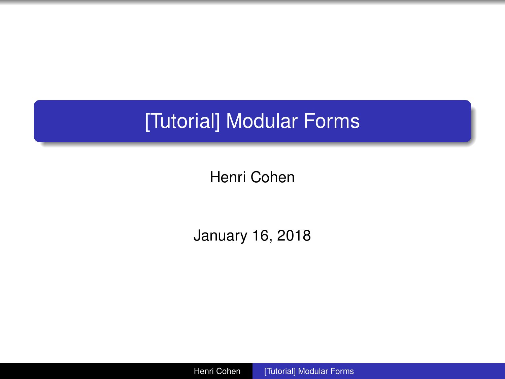# <span id="page-0-0"></span>[Tutorial] Modular Forms

Henri Cohen

January 16, 2018

Henri Cohen [\[Tutorial\] Modular Forms](#page-0-0)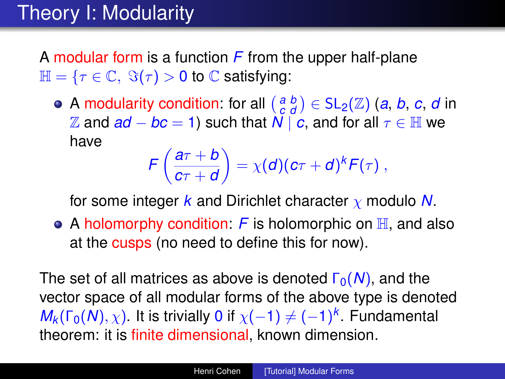# Theory I: Modularity

A modular form is a function *F* from the upper half-plane  $\mathbb{H} = \{ \tau \in \mathbb{C}, \ \Im(\tau) > 0 \ \text{to} \ \mathbb{C} \text{ satisfying:} \}$ 

A modularity condition: for all  $\begin{pmatrix} a & b \\ c & d \end{pmatrix} \in SL_2(\mathbb{Z})$  (*a*, *b*, *c*, *d* in  $\mathbb{Z}$  and *ad* − *bc* = 1) such that  $N \mid c$ , and for all  $τ ∈ \mathbb{H}$  we have

$$
\mathcal{F}\left(\frac{a\tau+b}{c\tau+d}\right)=\chi(d)(c\tau+d)^k\mathcal{F}(\tau)\;,
$$

for some integer *k* and Dirichlet character χ modulo *N*.

• A holomorphy condition:  $F$  is holomorphic on  $\mathbb{H}$ , and also at the cusps (no need to define this for now).

The set of all matrices as above is denoted  $Γ_0(N)$ , and the vector space of all modular forms of the above type is denoted  $M_k(\Gamma_0(N), \chi)$ . It is trivially 0 if  $\chi(-1) \neq (-1)^k$ . Fundamental theorem: it is finite dimensional, known dimension.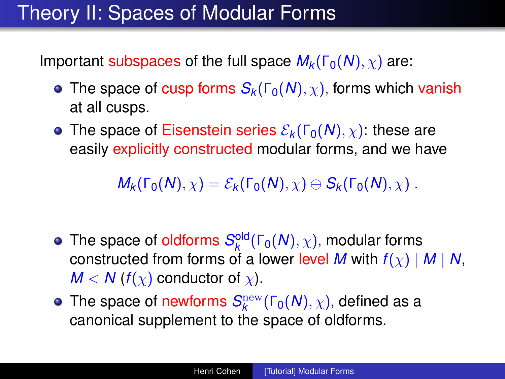## Theory II: Spaces of Modular Forms

Important subspaces of the full space  $M_k(\Gamma_0(N), \chi)$  are:

- The space of cusp forms  $S_k(\Gamma_0(N), \chi)$ , forms which vanish at all cusps.
- **•** The space of Eisenstein series  $\mathcal{E}_k(\Gamma_0(N), \chi)$ : these are easily explicitly constructed modular forms, and we have

 $M_k(\Gamma_0(N), \chi) = \mathcal{E}_k(\Gamma_0(N), \chi) \oplus \mathcal{S}_k(\Gamma_0(N), \chi)$ .

- The space of oldforms  $S_k^{\text{old}}(\Gamma_0(N), \chi)$ , modular forms constructed from forms of a lower level *M* with *f*(χ) | *M* | *N*,  $M < N(f(x))$  conductor of x).
- The space of newforms  $\mathcal{S}^{\text{new}}_k(\Gamma_0(N), \chi)$ , defined as a canonical supplement to the space of oldforms.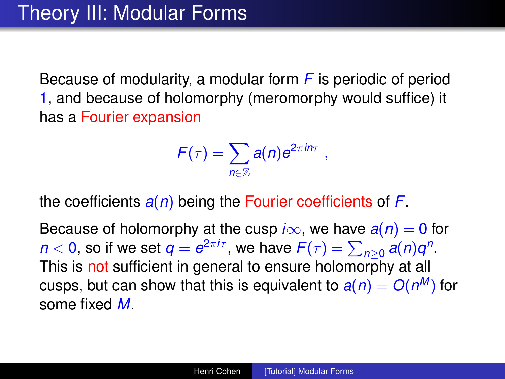Because of modularity, a modular form *F* is periodic of period 1, and because of holomorphy (meromorphy would suffice) it has a Fourier expansion

$$
F(\tau)=\sum_{n\in\mathbb{Z}}a(n)e^{2\pi in\tau}\;,
$$

the coefficients *a*(*n*) being the Fourier coefficients of *F*.

Because of holomorphy at the cusp  $i\infty$ , we have  $a(n) = 0$  for *n* < 0, so if we set  $q = e^{2\pi i \tau}$ , we have  $F(\tau) = \sum_{n\geq 0} a(n)q^n$ . This is not sufficient in general to ensure holomorphy at all cusps, but can show that this is equivalent to  $a(n) = O(n^M)$  for some fixed *M*.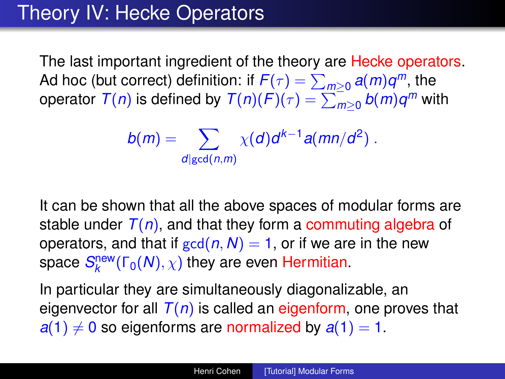## Theory IV: Hecke Operators

The last important ingredient of the theory are Hecke operators. Ad hoc (but correct) definition: if  $F(\tau) = \sum_{m\geq 0} a(m)q^m$ , the  $\sigma$  operator  $\mathcal{T}(n)$  is defined by  $\mathcal{T}(n)(\mathcal{F})(\tau) = \sum_{m\geq 0}^{-1} b(m) q^m$  with

$$
b(m)=\sum_{d|\gcd(n,m)}\chi(d)d^{k-1}a(mn/d^2).
$$

It can be shown that all the above spaces of modular forms are stable under  $T(n)$ , and that they form a commuting algebra of operators, and that if  $gcd(n, N) = 1$ , or if we are in the new space  $\mathcal{S}^{\mathsf{new}}_k(\mathsf{\Gamma}_0(N), \chi)$  they are even Hermitian.

In particular they are simultaneously diagonalizable, an eigenvector for all  $T(n)$  is called an eigenform, one proves that  $a(1) \neq 0$  so eigenforms are normalized by  $a(1) = 1$ .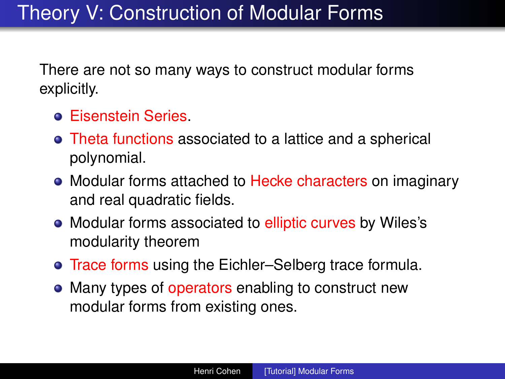There are not so many ways to construct modular forms explicitly.

- **Eisenstein Series.**
- Theta functions associated to a lattice and a spherical polynomial.
- Modular forms attached to Hecke characters on imaginary and real quadratic fields.
- Modular forms associated to elliptic curves by Wiles's modularity theorem
- **Trace forms using the Eichler–Selberg trace formula.**
- Many types of operators enabling to construct new modular forms from existing ones.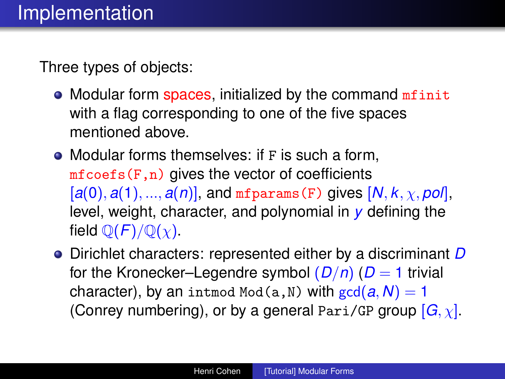Three types of objects:

- Modular form spaces, initialized by the command minit with a flag corresponding to one of the five spaces mentioned above.
- Modular forms themselves: if F is such a form,  $m$ fcoefs(F,n) gives the vector of coefficients  $[a(0), a(1), ..., a(n)]$ , and mfparams (F) gives  $[N, k, \chi, pol]$ , level, weight, character, and polynomial in *y* defining the field  $\mathbb{O}(F)/\mathbb{O}(\chi)$ .
- Dirichlet characters: represented either by a discriminant *D* for the Kronecker–Legendre symbol  $(D/n)$  ( $D = 1$  trivial character), by an intmod Mod(a, N) with  $gcd(a, N) = 1$ (Conrey numbering), or by a general Pari/GP group [*G*, χ].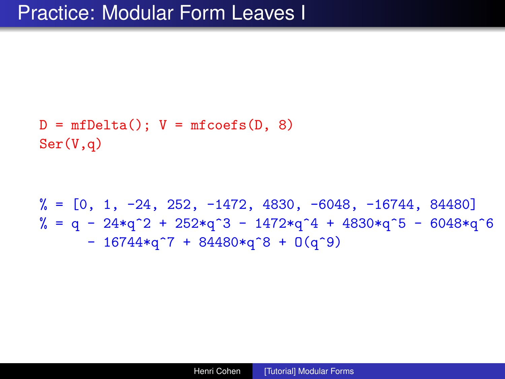```
D = mfDelta(); V = mfcos(s(D, 8))Ser(V,q)
```
 $\% = \begin{bmatrix} 0, 1, -24, 252, -1472, 4830, -6048, -16744, 84480 \end{bmatrix}$  $\% = q - 24 \cdot q^2 + 252 \cdot q^3 - 1472 \cdot q^4 + 4830 \cdot q^5 - 6048 \cdot q^6$  $- 16744*q^7 + 84480*q^8 + 0(q^9)$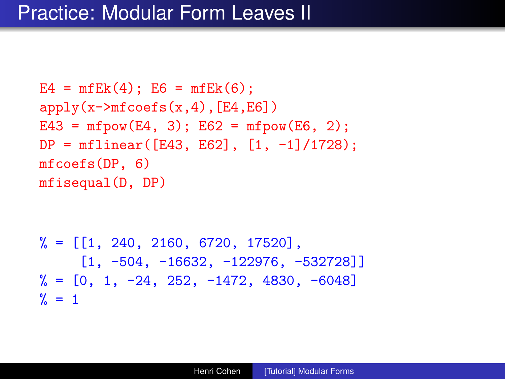#### Practice: Modular Form Leaves II

```
E4 = mfEk(4); E6 = mfEk(6);apply(x->mfoefs(x,4), [E4,E6])E43 = mfpow(E4, 3); E62 = mfpow(E6, 2);
DP = mflinear(F43, E62], [1, -1]/1728);mfcoefs(DP, 6)
mfisequal(D, DP)
```

```
\% = [[1, 240, 2160, 6720, 17520],\begin{bmatrix} 1 & -504 & -16632 & -122976 & -532728 \end{bmatrix}\% = \begin{bmatrix} 0, 1, -24, 252, -1472, 4830, -6048 \end{bmatrix}\frac{9}{2} = 1
```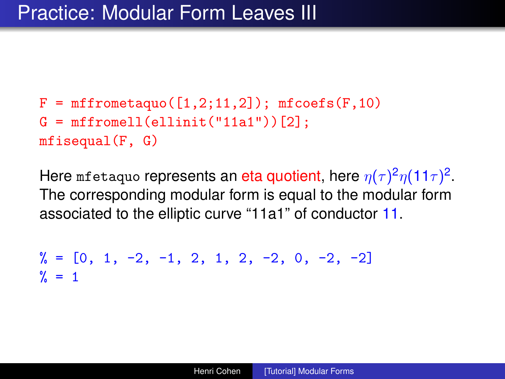```
F = mffrometaguo([1,2;11,2]); mfcoefs(F,10)G = mffromell(ellinit("11a1"))[2];
mfisequal(F, G)
```
Here mfetaquo represents an eta quotient, here  $\eta(\tau)^2\eta(11\tau)^2$ . The corresponding modular form is equal to the modular form associated to the elliptic curve "11a1" of conductor 11.

```
\% = \begin{bmatrix} 0, 1, -2, -1, 2, 1, 2, -2, 0, -2, -2 \end{bmatrix}\frac{9}{6} = 1
```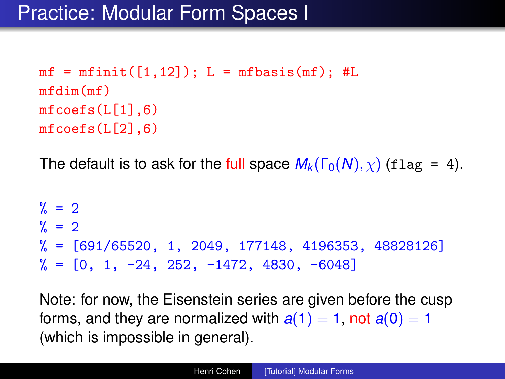```
mf = mfinite([1,12]); L = mfbasis(mf); #L
mfdim(mf)
mfcoeffs(L[1],6)mfcoeffs(L[2],6)
```
The default is to ask for the full space  $M_k(\Gamma_0(N), \chi)$  (flag = 4).

```
\% = 2\frac{9}{6} = 2
\% = [691/65520, 1, 2049, 177148, 4196353, 48828126]\% = \begin{bmatrix} 0 \\ 1 \\ -24 \\ 252 \\ -1472 \\ 4830 \\ -6048 \end{bmatrix}
```
Note: for now, the Eisenstein series are given before the cusp forms, and they are normalized with  $a(1) = 1$ , not  $a(0) = 1$ (which is impossible in general).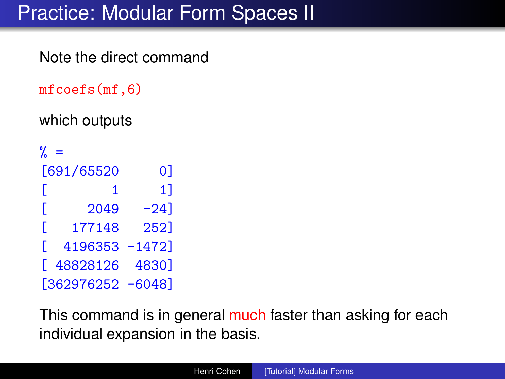# Practice: Modular Form Spaces II

Note the direct command

```
mfcoefs(mf,6)
```
which outputs

 $\% =$ [691/65520 0]  $\begin{bmatrix} 1 & 1 \end{bmatrix}$  $\begin{bmatrix} 2049 & -24 \end{bmatrix}$ [ 177148 252] [ 4196353 -1472] [ 48828126 4830] [362976252 -6048]

This command is in general much faster than asking for each individual expansion in the basis.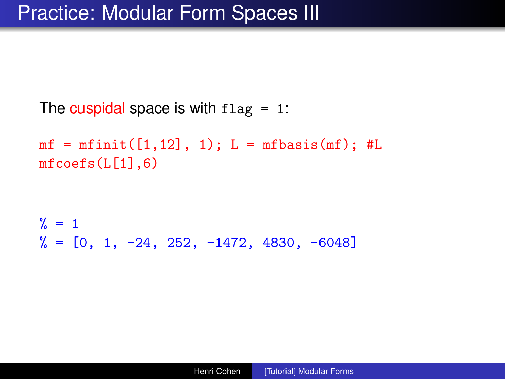The cuspidal space is with  $flag = 1$ :

 $mf = mfinite([1,12], 1); L = mfbasis(mf); #L$  $mfcoefs(L[1], 6)$ 

```
\frac{9}{6} = 1
\% = \begin{bmatrix} 0, 1, -24, 252, -1472, 4830, -6048 \end{bmatrix}
```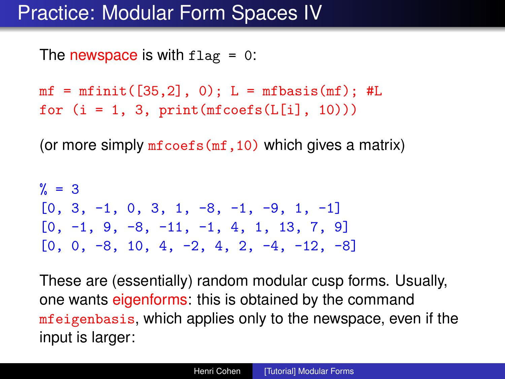## Practice: Modular Form Spaces IV

The newspace is with  $flag = 0$ :

 $mf = mfinite([35, 2], 0); L = mfbasis(mf); #L$ for  $(i = 1, 3, print(mfcoeff([i], 10)))$ 

(or more simply  $m\bar{f}\text{coeff}(m\bar{f},10)$  which gives a matrix)

 $\% = 3$ [0, 3, -1, 0, 3, 1, -8, -1, -9, 1, -1]  $[0, -1, 9, -8, -11, -1, 4, 1, 13, 7, 9]$  $[0, 0, -8, 10, 4, -2, 4, 2, -4, -12, -8]$ 

These are (essentially) random modular cusp forms. Usually, one wants eigenforms: this is obtained by the command mfeigenbasis, which applies only to the newspace, even if the input is larger: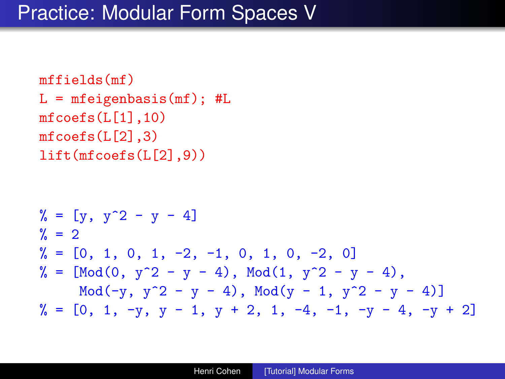```
mffields(mf)
L = mfeigenbasis(mf); #Lmfcoefs(L[1], 10)mfcosts(L[2], 3)lift(mfcoefs(L[2],9))
```

$$
\% = [y, y^2 - y - 4]
$$
  
\n
$$
\% = [0, 1, 0, 1, -2, -1, 0, 1, 0, -2, 0]
$$
  
\n
$$
\% = [Mod(0, y^2 - y - 4), Mod(1, y^2 - y - 4), Mod(-y, y^2 - y - 4), Mod(y - 1, y^2 - y - 4)]
$$
  
\n
$$
\% = [0, 1, -y, y - 1, y + 2, 1, -4, -1, -y - 4, -y + 2]
$$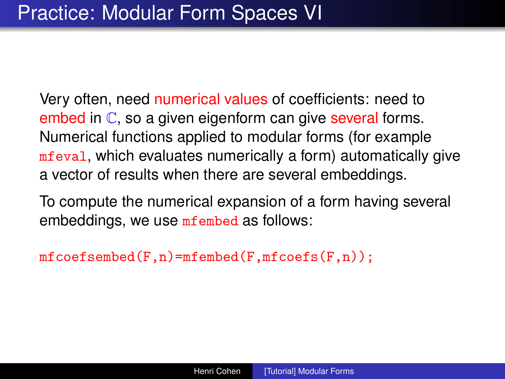Very often, need numerical values of coefficients: need to embed in  $\mathbb C$ , so a given eigenform can give several forms. Numerical functions applied to modular forms (for example mfeval, which evaluates numerically a form) automatically give a vector of results when there are several embeddings.

To compute the numerical expansion of a form having several embeddings, we use mfembed as follows:

 $mfcoeff.$ m $fcoeff.$ m $fcoeff.$ m $fcoeff.$ m $fcoeff.$ m $fcoeff.$ n $)$ ;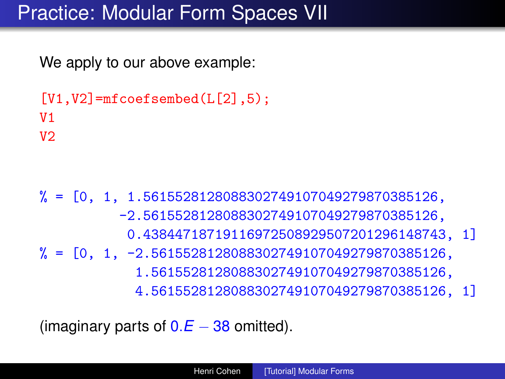## Practice: Modular Form Spaces VII

We apply to our above example:

```
[V1,V2] = mfcoefsembed(L[2], 5);
V1
V<sub>2</sub>
```
 $\% = [0, 1, 1.5615528128088302749107049279870385126,$ -2.5615528128088302749107049279870385126, 0.43844718719116972508929507201296148743, 1]  $% = [0, 1, -2.5615528128088302749107049279870385126,$ 1.5615528128088302749107049279870385126, 4.5615528128088302749107049279870385126, 1]

(imaginary parts of  $0.E - 38$  omitted).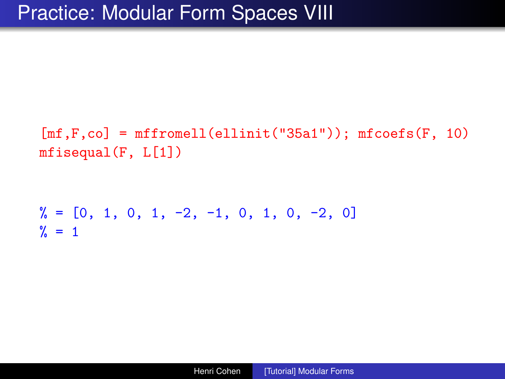$[mf,F,co] = mffromell(ellinit("35a1"))$ ;  $mfcoefs(F, 10)$ mfisequal(F, L[1])

 $\frac{9}{6}$  = [0, 1, 0, 1, -2, -1, 0, 1, 0, -2, 0]  $\frac{9}{6}$  = 1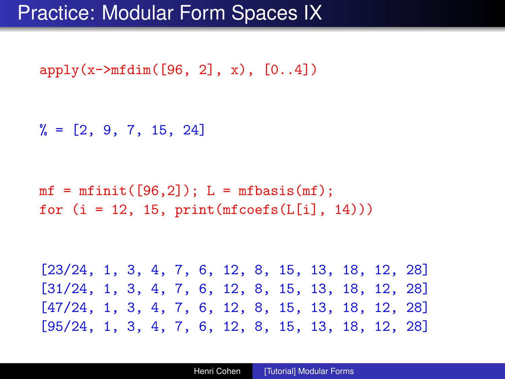$apply(x\rightarrow mfdim([96, 2], x), [0..4])$ 

 $\% = [2, 9, 7, 15, 24]$ 

 $mf = mfinite([96,2])$ ;  $L = mfbasis(mf)$ ; for  $(i = 12, 15, print(mfcoefs(L[i], 14)))$ 

[23/24, 1, 3, 4, 7, 6, 12, 8, 15, 13, 18, 12, 28] [31/24, 1, 3, 4, 7, 6, 12, 8, 15, 13, 18, 12, 28] [47/24, 1, 3, 4, 7, 6, 12, 8, 15, 13, 18, 12, 28] [95/24, 1, 3, 4, 7, 6, 12, 8, 15, 13, 18, 12, 28]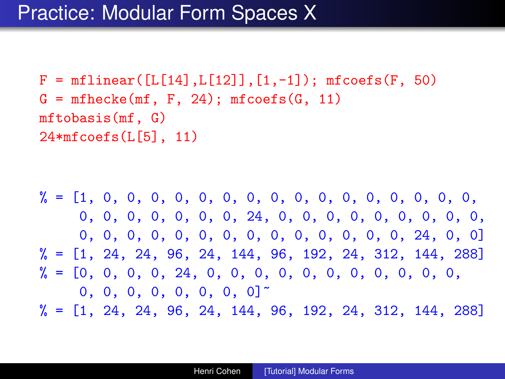$F = mflinear([L[14], L[12]], [1, -1])$ ;  $mfooefs(F, 50)$  $G = m$ fhecke $(mf, F, 24)$ ;  $m$ fcoefs $(G, 11)$ mftobasis(mf, G) 24\*mfcoefs(L[5], 11)

% = [1, 0, 0, 0, 0, 0, 0, 0, 0, 0, 0, 0, 0, 0, 0, 0, 0, 0, 0, 0, 0, 0, 0, 0, 24, 0, 0, 0, 0, 0, 0, 0, 0, 0, 0, 0, 0, 0, 0, 0, 0, 0, 0, 0, 0, 0, 0, 0, 24, 0, 0]  $\% = \begin{bmatrix} 1, 24, 24, 96, 24, 144, 96, 192, 24, 312, 144, 288 \end{bmatrix}$ % = [0, 0, 0, 0, 24, 0, 0, 0, 0, 0, 0, 0, 0, 0, 0, 0,  $0, 0, 0, 0, 0, 0, 0, 0]$  $\% = [1, 24, 24, 96, 24, 144, 96, 192, 24, 312, 144, 288]$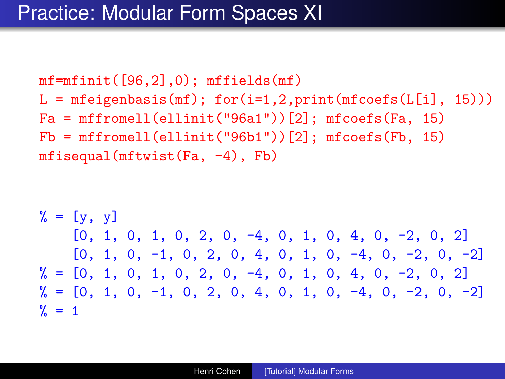$mf = mfinite([96, 2], 0); mffields(mf)$  $L = mfeigenbasis(mf); for (i=1,2, print(mfcoeff(L[i], 15)))$  $Fa = mffromell(ellinit("96a1"))[2]; mfoefs(Fa, 15)$  $Fb = mffromell(ellinit("96b1"))$ [2];  $mfcoeffb, 15)$ mfisequal(mftwist(Fa, -4), Fb)

$$
\begin{array}{lll}\n\% &=& [y, y] \\
[0, 1, 0, 1, 0, 2, 0, -4, 0, 1, 0, 4, 0, -2, 0, 2] \\
[0, 1, 0, -1, 0, 2, 0, 4, 0, 1, 0, -4, 0, -2, 0, -2] \\
\% &=& [0, 1, 0, 1, 0, 2, 0, -4, 0, 1, 0, 4, 0, -2, 0, 2] \\
\% &=& [0, 1, 0, -1, 0, 2, 0, 4, 0, 1, 0, -4, 0, -2, 0, -2] \\
\% &=& 1\n\end{array}
$$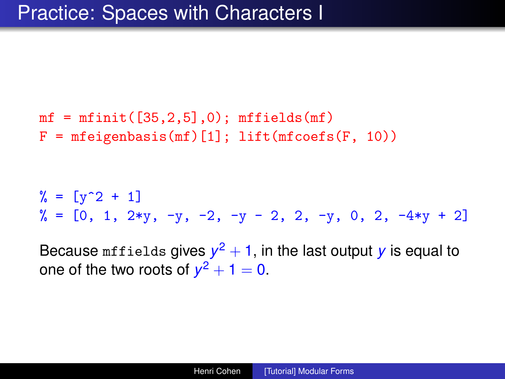```
mf = mfinite([35, 2, 5], 0); mfields(mf)F = mfeigenbasis(mf)[1]; lift(mfcoeff(F, 10))
```
 $\frac{9}{6} = [\frac{1}{9} \cdot 2 + 1]$  $\frac{9}{6}$  = [0, 1, 2\*y, -y, -2, -y - 2, 2, -y, 0, 2, -4\*y + 2]

Because  $\text{mfields}$  gives  $y^2+1$ , in the last output  $y$  is equal to one of the two roots of  $y^2 + 1 = 0$ .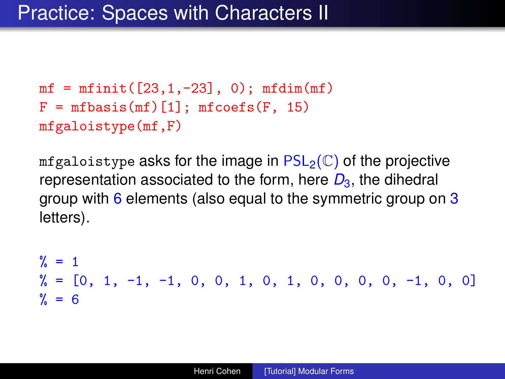```
mf = mfinite([23, 1, -23], 0); mfdim(mf)F = mfbasis(mf)[1]; mfoefs(F, 15)mfgaloistype(mf,F)
```
mfgaloistype asks for the image in  $PSL_2(\mathbb{C})$  of the projective representation associated to the form, here  $D_3$ , the dihedral group with 6 elements (also equal to the symmetric group on 3 letters).

 $\frac{9}{6}$  = 1  $\% = \begin{bmatrix} 0 & 1 & -1 & -1 \\ 0 & 0 & 0 & 1 \\ 0 & 0 & 1 & 0 \\ 0 & 0 & 0 & 0 \\ 0 & 0 & 0 & 0 \\ 0 & 0 & 0 & 0 \\ 0 & 0 & 0 & 0 \\ 0 & 0 & 0 & 0 \\ 0 & 0 & 0 & 0 \\ 0 & 0 & 0 & 0 \\ 0 & 0 & 0 & 0 \\ 0 & 0 & 0 & 0 \\ 0 & 0 & 0 & 0 \\ 0 & 0 & 0 & 0 \\ 0 & 0 & 0 & 0 \\ 0 & 0 & 0 & 0 \\ 0 & 0 & 0 & 0 & 0 \\ 0 &$  $% = 6$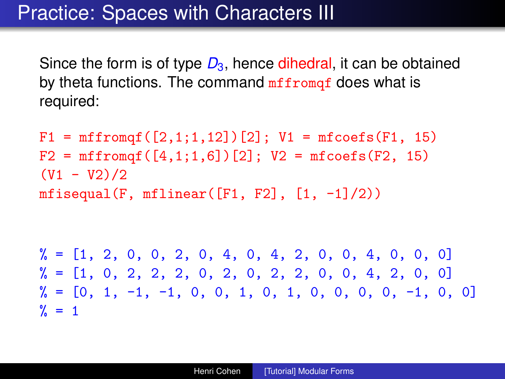## Practice: Spaces with Characters III

Since the form is of type  $D_3$ , hence dihedral, it can be obtained by theta functions. The command  $m$ ffrom  $q$ f does what is required:

 $F1 = mffromqf([2,1;1,12])[2]; V1 = mfooefs(F1, 15)$  $F2 = mffromqf([4,1;1,6])[2]; V2 = mfoefs(F2, 15)$  $(V1 - V2)/2$ mfisequal(F, mflinear( $[F1, F2]$ ,  $[1, -1]/2$ ))

 $\frac{9}{6}$  = [1, 2, 0, 0, 2, 0, 4, 0, 4, 2, 0, 0, 4, 0, 0, 0]  $\frac{9}{6}$  = [1, 0, 2, 2, 2, 0, 2, 0, 2, 2, 0, 0, 4, 2, 0, 0]  $\% = \begin{bmatrix} 0 & 1 & -1 & -1 \\ 0 & 0 & 1 & 0 \\ 0 & 0 & 1 & 0 \\ 0 & 0 & 0 & 0 \\ 0 & 0 & 0 & 0 \\ 0 & 0 & 0 & 0 \\ 0 & 0 & 0 & 0 \\ 0 & 0 & 0 & 0 \\ 0 & 0 & 0 & 0 \\ 0 & 0 & 0 & 0 \\ 0 & 0 & 0 & 0 \\ 0 & 0 & 0 & 0 \\ 0 & 0 & 0 & 0 \\ 0 & 0 & 0 & 0 \\ 0 & 0 & 0 & 0 \\ 0 & 0 & 0 & 0 \\ 0 & 0 & 0 & 0 \\ 0 & 0 &$  $\% = 1$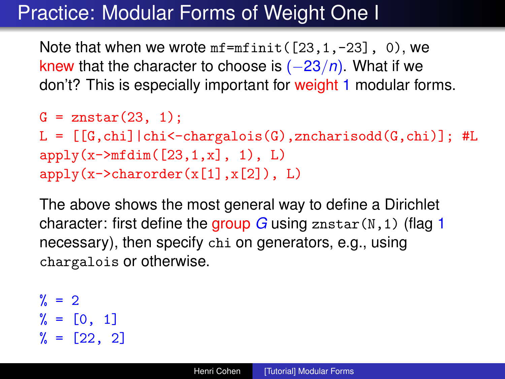## Practice: Modular Forms of Weight One I

Note that when we wrote  $mf = m f \text{init}([23, 1, -23], 0)$ , we knew that the character to choose is (−23/*n*). What if we don't? This is especially important for weight 1 modular forms.

```
G = znstar(23, 1);
L = [[G, chi]|chi<-chargalois(G),zncharisodd(G, chi)]; #Lapply(x->mfdim([23,1,x], 1), L)apply(x->character(x[1], x[2]), L)
```
The above shows the most general way to define a Dirichlet character: first define the group *G* using znstar(N,1) (flag 1 necessary), then specify chi on generators, e.g., using chargalois or otherwise.

```
\% = 2% = [0, 1]% = [22, 2]
```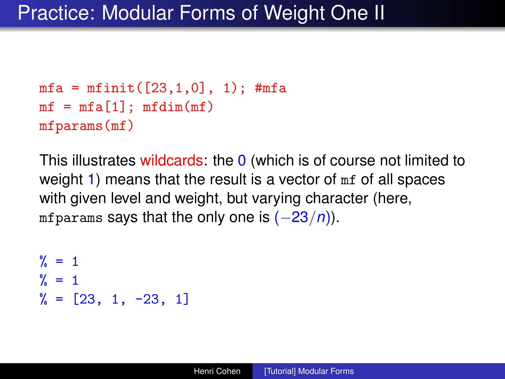```
mfa = mfinit([23, 1, 0], 1);#mfa
mf = mfa[1]; mfdim(mf)mfparams(mf)
```
This illustrates wildcards: the 0 (which is of course not limited to weight 1) means that the result is a vector of mf of all spaces with given level and weight, but varying character (here, mfparams says that the only one is (−23/*n*)).

```
\frac{9}{6} = 1
\% = 1\% = [23, 1, -23, 1]
```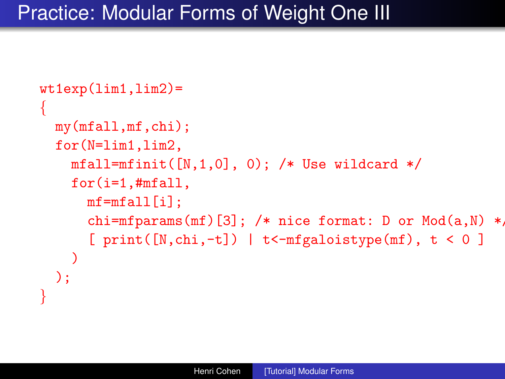## Practice: Modular Forms of Weight One III

```
wt1exp(lim1,lim2)=
{
  my(mfall,mf,chi);
  for(N=lim1,lim2,
    mfall=mfinit([N,1,0], 0); /* Use wildcard */
    for(i=1,#mfall,
      mf = mfall[i];chi=mfparams(mf)[3]; /* nice format: D or Mod(a, N) *,
      [ print([N, chi, -t]) | t<-mfgaloistype(mf), t < 0 ]
    )
  );
}
```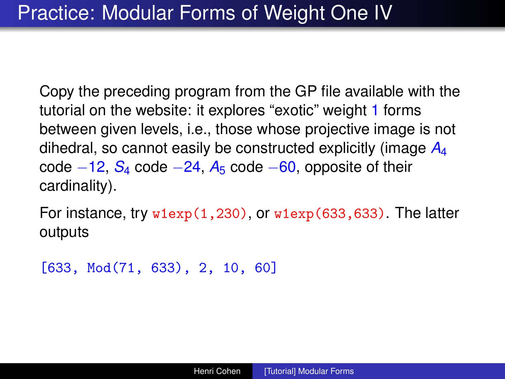Copy the preceding program from the GP file available with the tutorial on the website: it explores "exotic" weight 1 forms between given levels, i.e., those whose projective image is not dihedral, so cannot easily be constructed explicitly (image *A*<sup>4</sup> code −12, *S*<sup>4</sup> code −24, *A*<sup>5</sup> code −60, opposite of their cardinality).

For instance, try  $w1exp(1,230)$ , or  $w1exp(633,633)$ . The latter outputs

```
[633, Mod(71, 633), 2, 10, 60]
```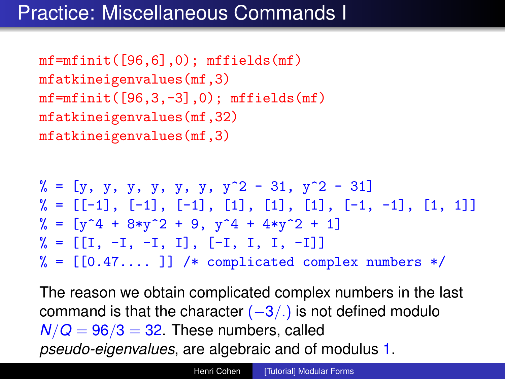## Practice: Miscellaneous Commands I

 $mf = mfinite([96, 6], 0); mfilelds(mf)$ mfatkineigenvalues(mf,3)  $mf = mfinite([96, 3, -3], 0)$ ;  $mfields(mf)$ mfatkineigenvalues(mf,32) mfatkineigenvalues(mf,3)

 $\% = [\gamma, \gamma, \gamma, \gamma, \gamma, \gamma, \gamma, \gamma^2 - 31, \gamma^2 - 31]$  $\% = [[-1], [-1], [-1], [1], [1], [1], [-1], -1], [1, 1]$  $\% = \left[ y^4 + 8*y^2 + 9, y^4 + 4*y^2 + 1 \right]$  $\% = \begin{bmatrix} 1, -1, -1, 1, -1, 1, 1, 1, -1 \end{bmatrix}$  $% = [[0.47...]]$  /\* complicated complex numbers \*/

The reason we obtain complicated complex numbers in the last command is that the character  $(-3/.)$  is not defined modulo  $N/Q = 96/3 = 32$ . These numbers, called *pseudo-eigenvalues*, are algebraic and of modulus 1.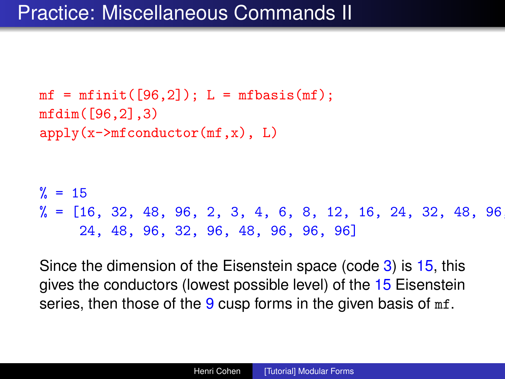```
mf = mfinite([96,2]); L = mfbasis(mf);
mfdim([96,2],3)
apply(x->mfconductor(mf,x), L)\frac{\%}{\ } = 15\% = \{16, 32, 48, 96, 2, 3, 4, 6, 8, 12, 16, 24, 32, 48, 96, \}24, 48, 96, 32, 96, 48, 96, 96, 96]
```
Since the dimension of the Eisenstein space (code 3) is 15, this gives the conductors (lowest possible level) of the 15 Eisenstein series, then those of the  $9 \text{ cusp}$  forms in the given basis of  $m f$ .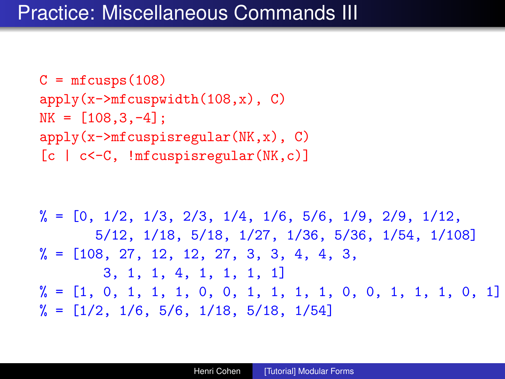```
C = mfcusps(108)apply(x->mfcuspwidth(108,x), C)NK = [108, 3, -4]:
apply(x->mfcuspisregular(NK,x), C)[c | c<-C, !mfcuspisregular(NK,c)]
```

```
\frac{9}{6} = [0, 1/2, 1/3, 2/3, 1/4, 1/6, 5/6, 1/9, 2/9, 1/12,
       5/12, 1/18, 5/18, 1/27, 1/36, 5/36, 1/54, 1/108]
\% = \{108, 27, 12, 12, 27, 3, 3, 4, 4, 3, \}3, 1, 1, 4, 1, 1, 1, 1]
\% = \{1, 0, 1, 1, 1, 0, 0, 1, 1, 1, 1, 0, 0, 1, 1, 1, 0, 1\}\frac{9}{6} = [1/2, 1/6, 5/6, 1/18, 5/18, 1/54]
```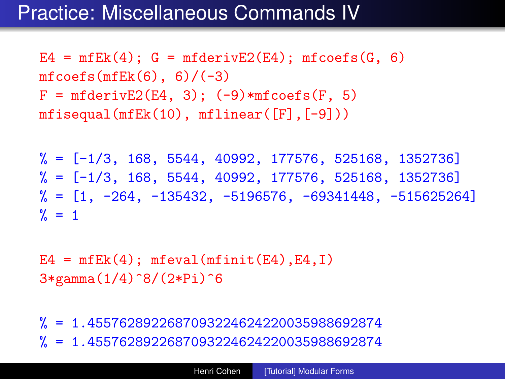#### Practice: Miscellaneous Commands IV

 $E4 = mfEk(4)$ ;  $G = mfderivE2(E4)$ ;  $mfcoefs(G, 6)$  $mfcoeff(K(6), 6)/(-3)$  $F = mfderivE2(E4, 3); (-9)*mfooefs(F, 5)$ mfisequal(mfEk(10), mflinear([F],[-9]))

 $\frac{9}{6}$  =  $[-1/3, 168, 5544, 40992, 177576, 525168, 1352736]$  $\frac{9}{6}$  =  $[-1/3, 168, 5544, 40992, 177576, 525168, 1352736]$  $\% = [1, -264, -135432, -5196576, -69341448, -515625264]$  $\frac{9}{6}$  = 1

 $E4 = mfEk(4)$ ; mfeval(mfinit(E4),E4,I) 3\*gamma(1/4)^8/(2\*Pi)^6

% = 1.4557628922687093224624220035988692874 % = 1.4557628922687093224624220035988692874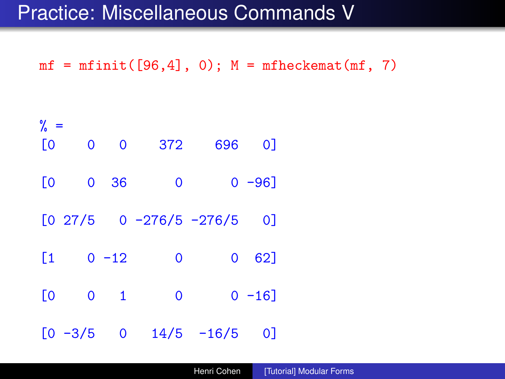### Practice: Miscellaneous Commands V

 $mf = mfinite([96, 4], 0); M = mfheckemat(mf, 7)$ 

| $\%$ =<br><b>[0</b> | $\overline{0}$ | $\overline{\phantom{0}}$ | 372         |                                 | 696 0]     |  |
|---------------------|----------------|--------------------------|-------------|---------------------------------|------------|--|
|                     |                |                          |             |                                 |            |  |
| <b>[0</b>           | 0              | 36                       | 0           |                                 | $0 - 96$ ] |  |
|                     |                |                          |             | $[0 27/5 0 -276/5 -276/5]$      | 0          |  |
| [1                  |                | $0 - 12$                 | $\mathbf 0$ |                                 | 0 62       |  |
| <b>[0</b>           |                | $0 \quad 1$              | $\mathbf 0$ |                                 | $0 - 16$ ] |  |
|                     |                |                          |             | $[0 -3/5 \t 0 \t 14/5 \t -16/5$ | 01         |  |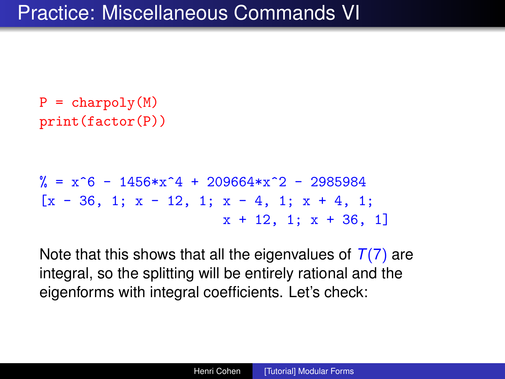```
P = charpoly(M)print(factor(P))
```

```
\% = x^6 - 1456*x^4 + 209664*x^2 - 2985984[x - 36, 1; x - 12, 1; x - 4, 1; x + 4, 1;x + 12, 1; x + 36, 1]
```
Note that this shows that all the eigenvalues of  $T(7)$  are integral, so the splitting will be entirely rational and the eigenforms with integral coefficients. Let's check: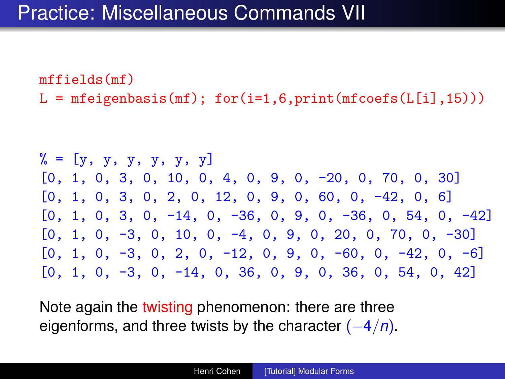mffields(mf)  $L = mfeigenbasis(mf)$ ; for(i=1,6,print(mfcoefs( $L[i], 15$ )))

 $\% = [y, y, y, y, y, y]$ [0, 1, 0, 3, 0, 10, 0, 4, 0, 9, 0, -20, 0, 70, 0, 30]  $[0, 1, 0, 3, 0, 2, 0, 12, 0, 9, 0, 60, 0, -42, 0, 6]$  $[0, 1, 0, 3, 0, -14, 0, -36, 0, 9, 0, -36, 0, 54, 0, -42]$  $[0, 1, 0, -3, 0, 10, 0, -4, 0, 9, 0, 20, 0, 70, 0, -30]$  $[0, 1, 0, -3, 0, 2, 0, -12, 0, 9, 0, -60, 0, -42, 0, -6]$ [0, 1, 0, -3, 0, -14, 0, 36, 0, 9, 0, 36, 0, 54, 0, 42]

Note again the twisting phenomenon: there are three eigenforms, and three twists by the character (−4/*n*).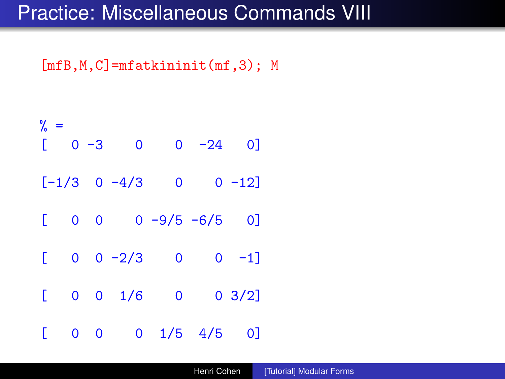### Practice: Miscellaneous Commands VIII

 $[mfB,M,C]$ =mfatkininit(mf,3); M

| $\%$ =<br>E  | $0 -3$     |                     | $\overline{0}$        | $0 -24 0$ ]    |                 |  |
|--------------|------------|---------------------|-----------------------|----------------|-----------------|--|
|              |            | $[-1/3 \ 0 \ -4/3]$ |                       | $\overline{0}$ | $0 - 12$        |  |
| $\mathbb{L}$ |            |                     | $0 \t 0 \t -9/5 -6/5$ |                | 0]              |  |
| $\mathbb{L}$ |            |                     | $0 \t 0 \t -2/3 \t 0$ |                | $0 -1$ ]        |  |
| D            | $0\quad 0$ | 1/6                 |                       | $\overline{0}$ | $0 \frac{3}{2}$ |  |
| E            |            | $0\quad 0$          | $0 \t1/5 \t4/5$       |                | 01              |  |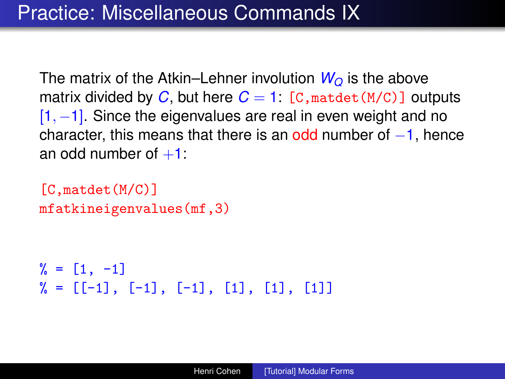The matrix of the Atkin–Lehner involution  $W_{\Omega}$  is the above matrix divided by C, but here  $C = 1$ :  $[C, \text{match}(M/C)]$  outputs  $[1, -1]$ . Since the eigenvalues are real in even weight and no character, this means that there is an odd number of  $-1$ , hence an odd number of  $+1$ :

```
[C,matdet(M/C)]
mfatkineigenvalues(mf,3)
```

```
\% = [1, -1]\% = [[-1], [-1], [-1], [1], [1], [1]]
```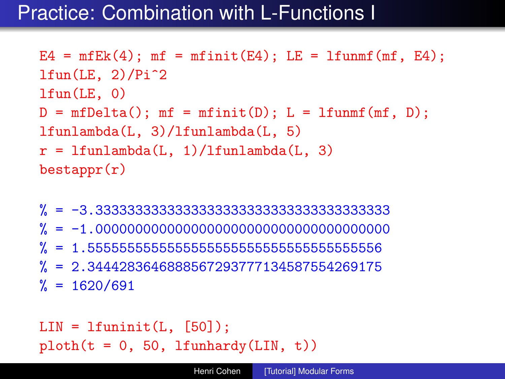## Practice: Combination with L-Functions I

```
E4 = mfEk(4); mf = mfinit(E4); LE = 1funnf(mf, E4);
ltun(LE, 2)/Pi^2lfun(LE, 0)
D = mfDelta(); mf = mfinit(D); L = 1funnf(mf, D);
lfunlambda(L, 3)/lfunlambda(L, 5)
r = 1funlambda(L, 1)/lfunlambda(L, 3)
bestappr(r)
```
% = -3.3333333333333333333333333333333333333 % = -1.0000000000000000000000000000000000000  $% = 1.555555555555555555555555555556$ % = 2.3444283646888567293777134587554269175  $\% = 1620/691$ 

 $LIN = 1$ funinit $(L, [50])$ ;  $ploth(t = 0, 50, 1funhardy(LIN, t))$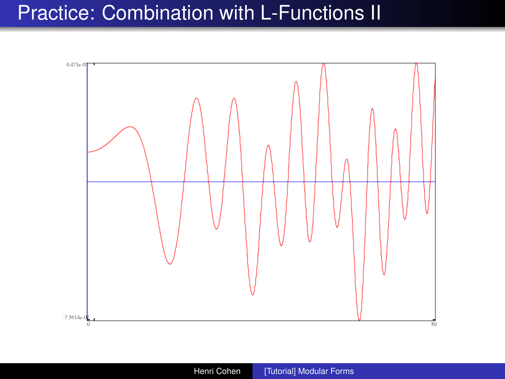## Practice: Combination with L-Functions II

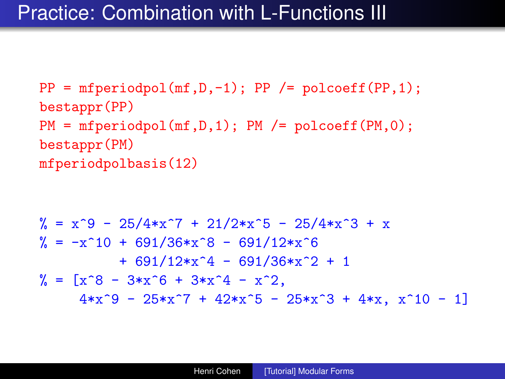### Practice: Combination with L-Functions III

```
PP = mfperiodpol(mf,D,-1); PP /= polcoeff(PP,1);bestappr(PP)
PM = mfperiodpol(mf,D,1); PM = polcoeff(PM,0);bestappr(PM)
mfperiodpolbasis(12)
```

```
\% = x^9 - 25/4*x^7 + 21/2*x^5 - 25/4*x^3 + x\frac{\%}{\%} = -x^10 + 691/36*x^8 - 691/12*x^6+ 691/12*x^4 - 691/36*x^2 + 1\% = [x^8 - 3*x^6 + 3*x^4 - x^2]4*x^9 - 25*x^7 + 42*x^5 - 25*x^3 + 4*x, x^10 - 1
```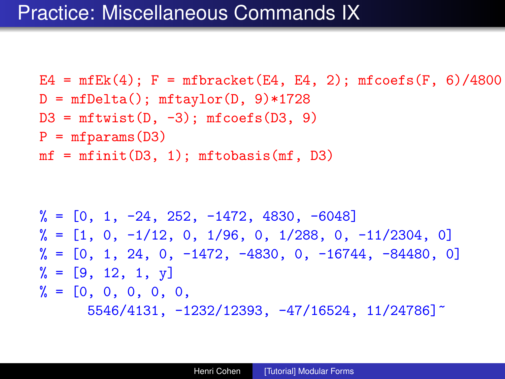```
E4 = mfEk(4); F = mfracket(Ed, Ed, 2); mfcoefs(F, 6)/4800D = mfDelta(); mftaylor(D, 9)*1728
D3 = mftwist(D, -3); mfoefs(D3, 9)P = mfparams(D3)mf = mfinite(D3, 1); mftobasis(mf, D3)
```

```
\frac{9}{6} = \left[0, 1, -24, 252, -1472, 4830, -6048\right]\% = \begin{bmatrix} 1, 0, -1/12, 0, 1/96, 0, 1/288, 0, -11/2304, 0 \end{bmatrix}\% = \begin{bmatrix} 0, 1, 24, 0, -1472, -4830, 0, -16744, -84480, 0 \end{bmatrix}\% = [9, 12, 1, y]\% = [0, 0, 0, 0, 0, 0]5546/4131, -1232/12393, -47/16524, 11/24786]~
```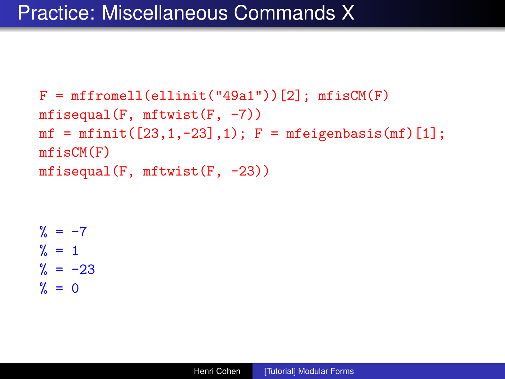```
F = mffromell(ellinit("49a1"))[2]; mfisch(F)mfisequal(F, mftwist(F, -7))
mf = mfinite([23, 1, -23], 1); F = mfeigenbasis(mf)[1];mfisCM(F)
mfisequal(F, mftwist(F, -23))
```

```
\frac{9}{6} = -7\frac{9}{2} = 1
\% = -23x = 0
```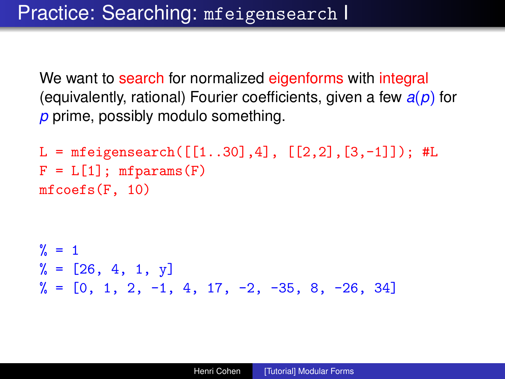We want to search for normalized eigenforms with integral (equivalently, rational) Fourier coefficients, given a few *a*(*p*) for *p* prime, possibly modulo something.

```
L = mfeigensearch([1..30], 4], [2, 2], [3, -1]]); #L
F = L[1]; mfparams(F)mfcoefs(F, 10)
```

```
\% = 1\% = [26, 4, 1, y]\frac{9}{6} = [0, 1, 2, -1, 4, 17, -2, -35, 8, -26, 34]
```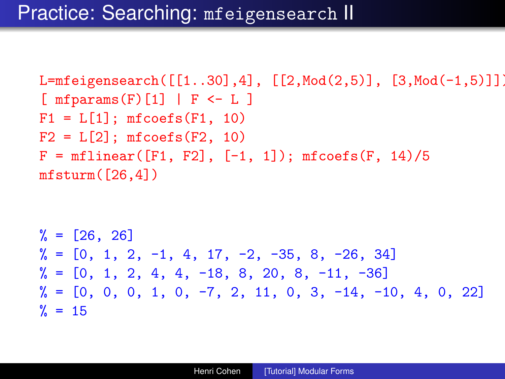```
L=mfeigensearch([[1..30],4], [[2,Mod(2,5)], [3,Mod(-1,5)]]);
[ mfparams(F)[1] | F \leftarrow L ]F1 = L[1]; mfcoefs(F1, 10)
F2 = L[2]; mfcoefs(F2, 10)
F = mflinear([F1, F2], [-1, 1]); mfooefs(F, 14)/5mfsturm( [26.4])
```
% = [26, 26] % = [0, 1, 2, -1, 4, 17, -2, -35, 8, -26, 34] % = [0, 1, 2, 4, 4, -18, 8, 20, 8, -11, -36] % = [0, 0, 0, 1, 0, -7, 2, 11, 0, 3, -14, -10, 4, 0, 22] % = 15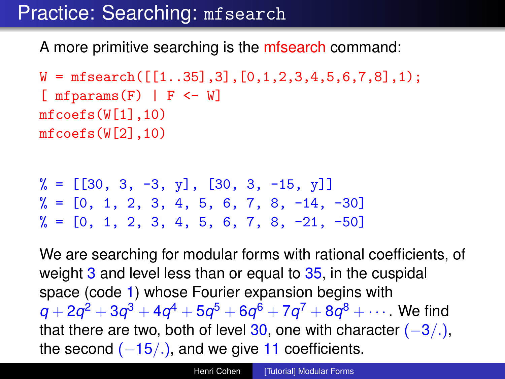## Practice: Searching: mfsearch

A more primitive searching is the mfsearch command:

```
W = mfsearch([1..35],3], [0,1,2,3,4,5,6,7,8],1);[ mfparams(F) | F \leftarrow W]
mfcoefs(W[1],10)
mfcoefs(W[2],10)
```
 $\% = [[30, 3, -3, y], [30, 3, -15, y]]$  $\% = \begin{bmatrix} 0, 1, 2, 3, 4, 5, 6, 7, 8, -14, -30 \end{bmatrix}$  $\% = \begin{bmatrix} 0 \\ 1 \\ 2 \\ 3 \\ 4 \\ 5 \\ 6 \\ 7 \\ 8 \\ -21 \\ -50 \end{bmatrix}$ 

We are searching for modular forms with rational coefficients, of weight 3 and level less than or equal to 35, in the cuspidal space (code 1) whose Fourier expansion begins with  $q+2q^2+3q^3+4q^4+5q^5+6q^6+7q^7+8q^8+\cdots$  . We find that there are two, both of level 30, one with character  $(-3/.)$ , the second  $(-15/.)$ , and we give 11 coefficients.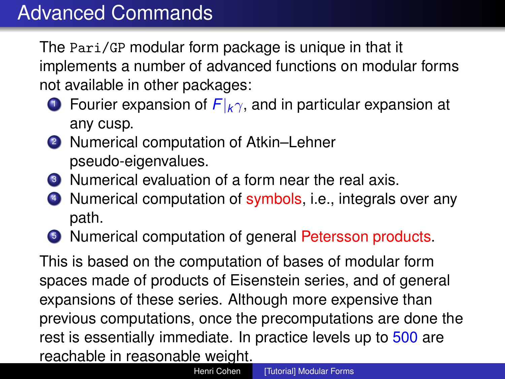The Pari/GP modular form package is unique in that it implements a number of advanced functions on modular forms not available in other packages:

- <sup>1</sup> Fourier expansion of *F*|*k*γ, and in particular expansion at any cusp.
- <sup>2</sup> Numerical computation of Atkin–Lehner pseudo-eigenvalues.
- <sup>3</sup> Numerical evaluation of a form near the real axis.
- 4 Numerical computation of symbols, i.e., integrals over any path.
- <sup>5</sup> Numerical computation of general Petersson products.

This is based on the computation of bases of modular form spaces made of products of Eisenstein series, and of general expansions of these series. Although more expensive than previous computations, once the precomputations are done the rest is essentially immediate. In practice levels up to 500 are reachable in reasonable weight.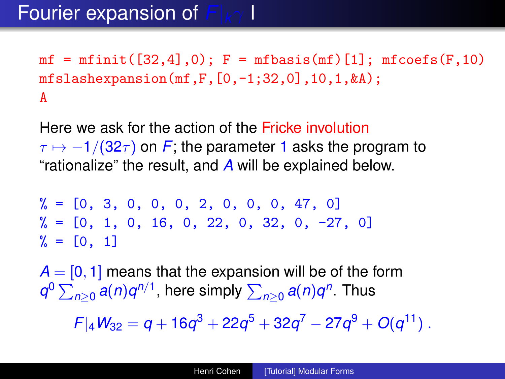$mf = mfinite([32, 4], 0); F = mfbasis(mf)[1]; mfooefs(F, 10)$ mfslashexpansion(mf,F,[0,-1;32,0],10,1,&A); A

Here we ask for the action of the Fricke involution  $\tau \mapsto -1/(32\tau)$  on F; the parameter 1 asks the program to "rationalize" the result, and *A* will be explained below.

 $\frac{9}{6}$  = [0, 3, 0, 0, 0, 0, 2, 0, 0, 0, 47, 0]  $\% = \begin{bmatrix} 0, 1, 0, 16, 0, 22, 0, 32, 0, -27, 0 \end{bmatrix}$  $\% = [0, 1]$ 

 $A = [0, 1]$  means that the expansion will be of the form  $q^0\sum_{n\geq 0}a(n)q^{n/1}$ , here simply  $\sum_{n\geq 0}a(n)q^n$ . Thus

 $F|_4W_{32}=q+16q^3+22q^5+32q^7-27q^9+O(q^{11})$  .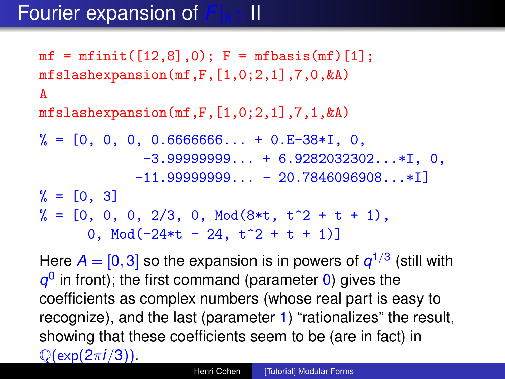## Fourier expansion of *F*|*k*γ II

 $mf = mfinite([12, 8], 0); F = mfbasis(mf)[1];$  $mfslashexpansion(mf,F,[1,0;2,1],7,0,kA)$ A  $mfslashexpansion(mf,F,[1,0;2,1],7,1,kA)$ 

 $\% = \begin{bmatrix} 0, 0, 0, 0.6666666 \ldots + 0. E-38*I, 0, \end{bmatrix}$  $-3.999999999...$  + 6.9282032302... \*I, 0,  $-11.9999999999... - 20.7846096908... * I$  $\% = [0, 3]$  $\% = [0, 0, 0, 2/3, 0, Mod(8*t, t^2 + t + 1),$ 0, Mod( $-24*t - 24$ ,  $t^2 + t + 1$ )

Here  $A = [0, 3]$  so the expansion is in powers of  $q^{1/3}$  (still with  $q<sup>0</sup>$  in front); the first command (parameter 0) gives the coefficients as complex numbers (whose real part is easy to recognize), and the last (parameter 1) "rationalizes" the result, showing that these coefficients seem to be (are in fact) in Q(exp(2π*i*/3)).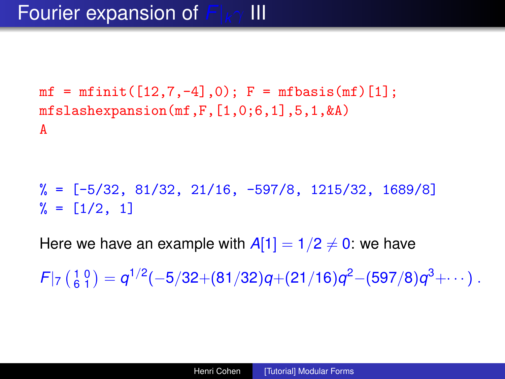## Fourier expansion of *F*|*k*γ III

```
mf = mfinite([12, 7, -4], 0); F = mfbasis(mf)[1];mfslashexpansion(mf,F,[1,0;6,1],5,1,&A)
A
```
 $\% = [-5/32, 81/32, 21/16, -597/8, 1215/32, 1689/8]$  $\frac{9}{6} = [1/2, 1]$ 

Here we have an example with  $A[1] = 1/2 \neq 0$ : we have

 $F|_7 \left(\frac{1}{6} \frac{0}{1}\right) = q^{1/2}(-5/32+(81/32)q+(21/16)q^2-(597/8)q^3+\cdots\right).$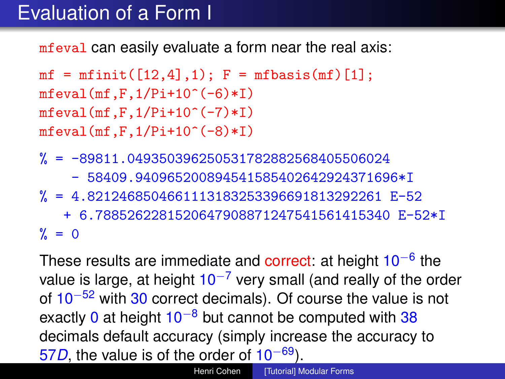## Evaluation of a Form I

mfeval can easily evaluate a form near the real axis:

```
mf = mfinite([12, 4], 1); F = mfbasis(mf)[1];mfeval(mf,F,1/Pi+10^(-6)*I)mfeval(mf.F.1/Pi+10^(-7)*I)mfeval(mf.F.1/Pi+10^(-8)*I)
```
- $% = -89811.049350396250531782882568405506024$ 
	- 58409.940965200894541585402642924371696\*I
- $% = 4.8212468504661113183253396691813292261 E-52$ + 6.7885262281520647908871247541561415340 E-52\*I  $\% = 0$

These results are immediate and correct: at height 10<sup>-6</sup> the value is large, at height  $10^{-7}$  very small (and really of the order of 10−<sup>52</sup> with 30 correct decimals). Of course the value is not exactly 0 at height  $10^{-8}$  but cannot be computed with 38 decimals default accuracy (simply increase the accuracy to 57*D*, the value is of the order of 10−69).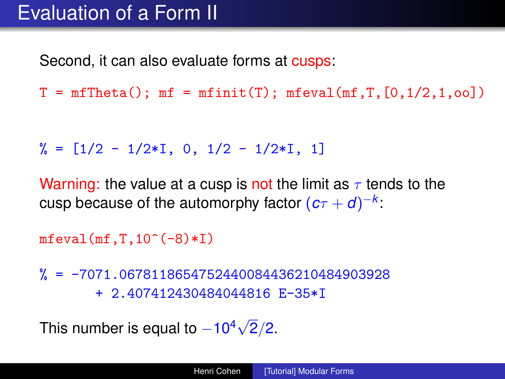## Evaluation of a Form II

Second, it can also evaluate forms at cusps:

 $T = mfTheta()$ ;  $mf = mfinit(T)$ ;  $mfeval(mf, T, [0, 1/2, 1, 00])$ 

```
\frac{9}{6} = \lceil 1/2 - 1/2 \cdot 1, 0, 1/2 - 1/2 \cdot 1, 1 \rceil
```
Warning: the value at a cusp is not the limit as  $\tau$  tends to the cusp because of the automorphy factor  $(c\tau+d)^{-k}$ :

 $mfeval(mf,T,10^(-8)*I)$ 

 $\frac{\%}{\%}$  = -7071.0678118654752440084436210484903928 + 2.407412430484044816 E-35\*I

This number is equal to  $-10^4\sqrt{2}$  $2/2.$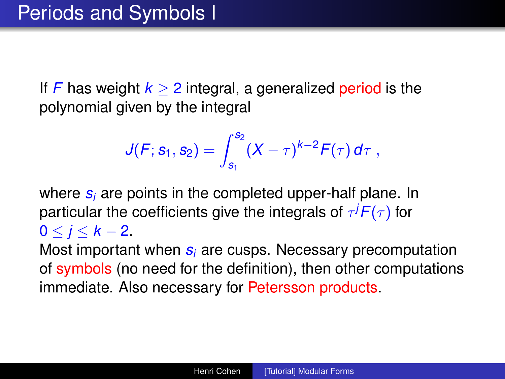If *F* has weight  $k \geq 2$  integral, a generalized period is the polynomial given by the integral

$$
J(F; s_1, s_2) = \int_{s_1}^{s_2} (X - \tau)^{k-2} F(\tau) d\tau,
$$

where *s<sup>i</sup>* are points in the completed upper-half plane. In particular the coefficients give the integrals of  $\tau^jF(\tau)$  for  $0 < j < k-2$ .

Most important when *s<sup>i</sup>* are cusps. Necessary precomputation of symbols (no need for the definition), then other computations immediate. Also necessary for Petersson products.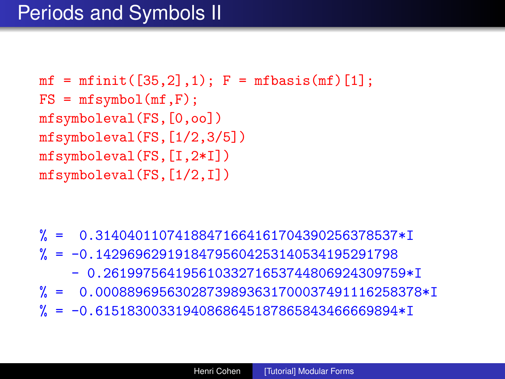```
mf = mfinite([35, 2], 1); F = mfbasis(mf)[1];FS = mfsymbol(mf,F);mfsymboleval(FS,[0,oo])
mfsymboleval(FS,[1/2,3/5])
mfsymboleval(FS,[I,2*I])
mfsymboleval(FS,[1/2,I])
```
- % = 0.31404011074188471664161704390256378537\*I
- $% = -0.14296962919184795604253140534195291798$ 
	- 0.26199756419561033271653744806924309759\*I
- % = 0.00088969563028739893631700037491116258378\*I
- $% = -0.61518300331940868645187865843466669894*I$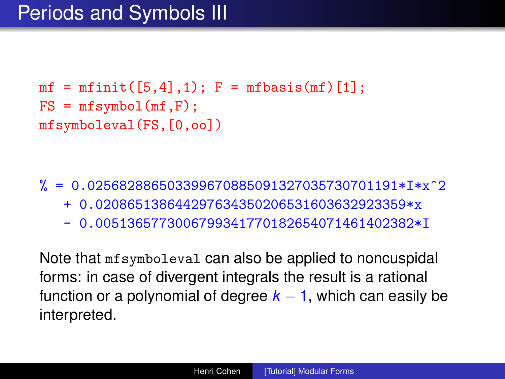```
mf = mfinite([5, 4], 1); F = mfbasis(mf)[1];FS = mfsymbol(mf,F);mfsymboleval(FS,[0,oo])
```
% = 0.025682886503399670885091327035730701191\*I\*x^2 + 0.020865138644297634350206531603632923359\*x - 0.0051365773006799341770182654071461402382\*I

Note that mfsymboleval can also be applied to noncuspidal forms: in case of divergent integrals the result is a rational function or a polynomial of degree  $k - 1$ , which can easily be interpreted.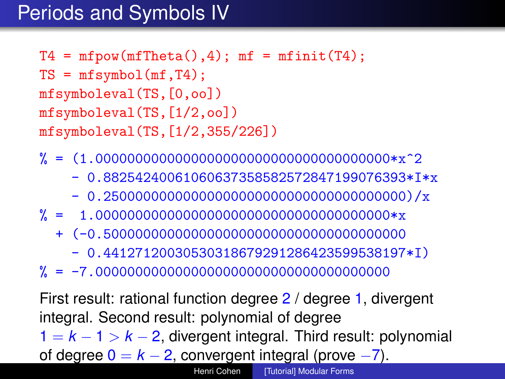## Periods and Symbols IV

```
T4 = mfpow(mfTheta(), 4); mf = mfinit(T4);TS = mfsymbol(mf,T4);mfsymboleval(TS,[0,oo])
mfsymboleval(TS,[1/2,oo])
mfsymboleval(TS,[1/2,355/226])
```
- % = (1.0000000000000000000000000000000000000\*x^2
	- 0.88254240061060637358582572847199076393\*I\*x
	- 0.25000000000000000000000000000000000000)/x
- % = 1.0000000000000000000000000000000000000\*x
	- + (-0.50000000000000000000000000000000000000
		- 0.44127120030530318679291286423599538197\*I)
- % = -7.0000000000000000000000000000000000000

First result: rational function degree 2 / degree 1, divergent integral. Second result: polynomial of degree 1 = *k* − 1 > *k* − 2, divergent integral. Third result: polynomial of degree  $0 = k - 2$ , convergent integral (prove  $-7$ ). Henri Cohen [\[Tutorial\] Modular Forms](#page-0-0)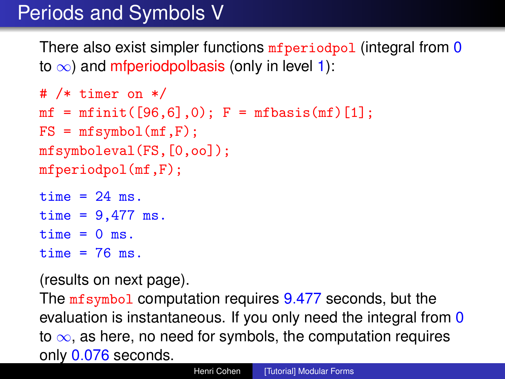# Periods and Symbols V

There also exist simpler functions *mfperiodpol* (integral from 0 to  $\infty$ ) and mfperiodpolbasis (only in level 1):

```
# /* timer on */
mf = mfinite([96, 6], 0); F = mfbasis(mf)[1];FS = mfsymbol(mf, F);
mfsymboleval(FS,[0,oo]);
mfperiodpol(mf,F);
```
time  $= 24$  ms. time =  $9,477$  ms. time  $= 0$  ms.  $time = 76$  ms.

(results on next page).

The mfsymbol computation requires 9.477 seconds, but the evaluation is instantaneous. If you only need the integral from 0 to  $\infty$ , as here, no need for symbols, the computation requires only 0.076 seconds.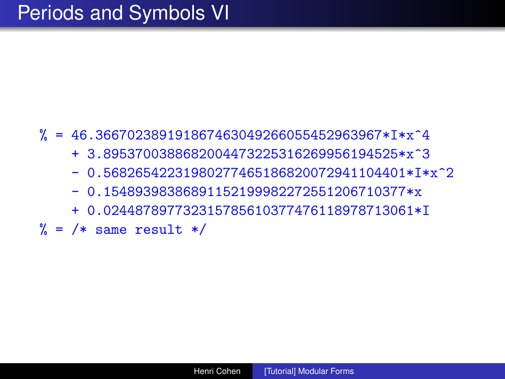#### $\% = 46.366702389191867463049266055452963967*I*x^4$

- + 3.8953700388682004473225316269956194525\*x^3
- $-0.56826542231980277465186820072941104401*Tx^2$
- 0.15489398386891152199982272551206710377\*x
- + 0.024487897732315785610377476118978713061\*I
- $\frac{\%}{\%}$  = /\* same result \*/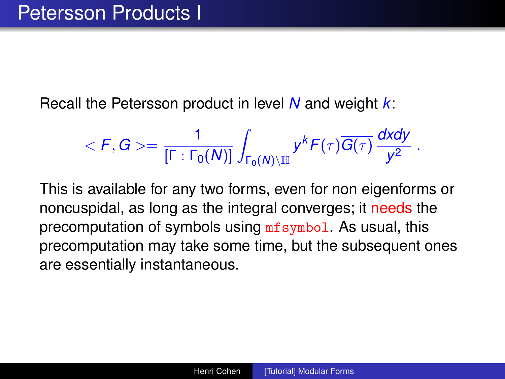Recall the Petersson product in level *N* and weight *k*:

$$
\langle F, G \rangle = \frac{1}{\left[\Gamma: \Gamma_0(N)\right]} \int_{\Gamma_0(N) \backslash \mathbb{H}} y^k F(\tau) \overline{G(\tau)} \, \frac{dxdy}{y^2} \; .
$$

This is available for any two forms, even for non eigenforms or noncuspidal, as long as the integral converges; it needs the precomputation of symbols using mfsymbol. As usual, this precomputation may take some time, but the subsequent ones are essentially instantaneous.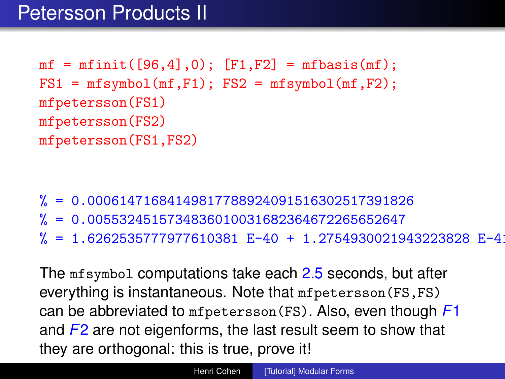```
mf = mfinite([96, 4], 0); [F1, F2] = mfbasis(mf);FS1 = mfsymbol(mf,F1); FS2 = mfsymbol(mf,F2);mfpetersson(FS1)
mfpetersson(FS2)
mfpetersson(FS1,FS2)
```
- % = 0.00061471684149817788924091516302517391826
- % = 0.0055324515734836010031682364672265652647
- % = 1.6262535777977610381 E-40 + 1.2754930021943223828 E-41\*I

The mfsymbol computations take each 2.5 seconds, but after everything is instantaneous. Note that mfpetersson(FS,FS) can be abbreviated to mfpetersson(FS). Also, even though *F*1 and *F*2 are not eigenforms, the last result seem to show that they are orthogonal: this is true, prove it!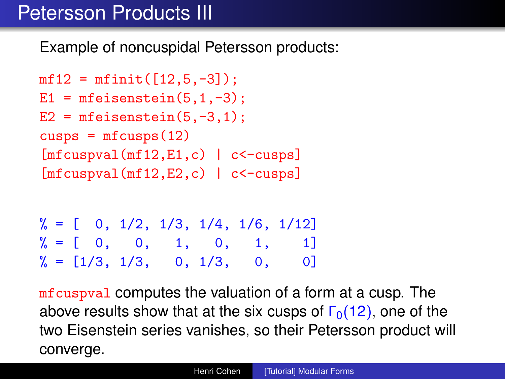## Petersson Products III

Example of noncuspidal Petersson products:

```
mf12 = mfinite([12,5,-3]);
E1 = mfeisenstein(5,1,-3);
E2 = mfiesenstein(5,-3,1);cusps = mfcusps(12)[mfcuspval(mf12,E1,c) | c<-\text{cusps}][mfcuspval(mf12,E2,c) | c<-\text{cusps}]
```

```
\frac{9}{6} = [ 0, 1/2, 1/3, 1/4, 1/6, 1/12]
\% = [ 0, 0, 1, 0, 1, 1]\frac{9}{6} = \begin{bmatrix} 1/3, 1/3, 0, 1/3, 0, 0 \end{bmatrix}
```
mfcuspval computes the valuation of a form at a cusp. The above results show that at the six cusps of  $\Gamma_0(12)$ , one of the two Eisenstein series vanishes, so their Petersson product will converge.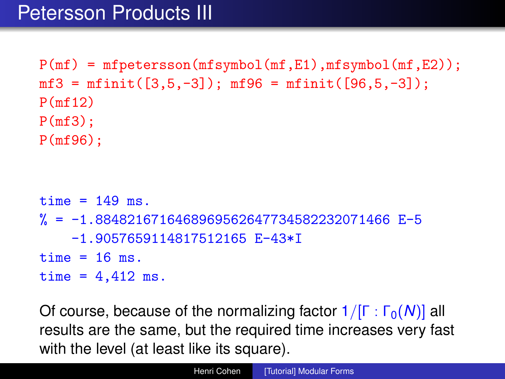$P(mf) = mfetersson(mfsymbol(mf,E1),mfsymbol(mf,E2));$  $mf3 = mfinite([3,5,-3])$ ;  $mf96 = mfinite([96,5,-3])$ ; P(mf12)  $P(mf3)$ ; P(mf96);  $time = 149$  ms. % = -1.8848216716468969562647734582232071466 E-5 -1.9057659114817512165 E-43\*I  $time = 16$  ms. time =  $4.412$  ms.

Of course, because of the normalizing factor 1/[Γ : Γ<sub>0</sub>(*N*)] all results are the same, but the required time increases very fast with the level (at least like its square).